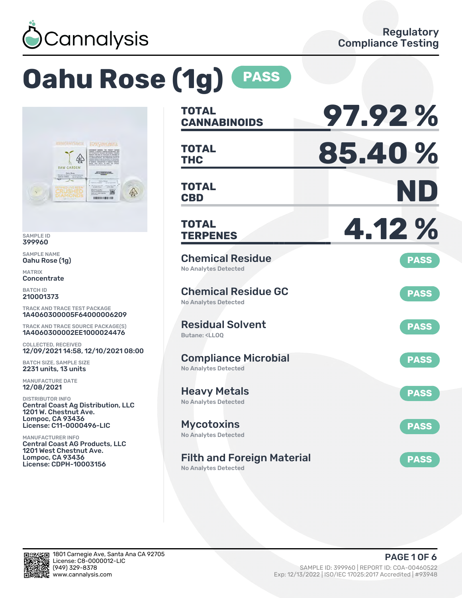

# **Oahu Rose (1g) PASS**



SAMPLE ID 399960

SAMPLE NAME Oahu Rose (1g)

MATRIX Concentrate

BATCH ID 210001373

TRACK AND TRACE TEST PACKAGE 1A4060300005F64000006209

TRACK AND TRACE SOURCE PACKAGE(S) 1A4060300002EE1000024476

COLLECTED, RECEIVED 12/09/2021 14:58, 12/10/2021 08:00

BATCH SIZE, SAMPLE SIZE 2231 units, 13 units

MANUFACTURE DATE 12/08/2021

DISTRIBUTOR INFO Central Coast Ag Distribution, LLC 1201 W. Chestnut Ave. Lompoc, CA 93436 License: C11-0000496-LIC

MANUFACTURER INFO Central Coast AG Products, LLC 1201 West Chestnut Ave. Lompoc, CA 93436 License: CDPH-10003156

| TOTAL<br><b>CANNABINOIDS</b>                                                 | 97.92%      |
|------------------------------------------------------------------------------|-------------|
| <b>TOTAL</b><br><b>THC</b>                                                   | 85.40%      |
| <b>TOTAL</b><br><b>CBD</b>                                                   | ND          |
| <b>TOTAL</b><br><b>TERPENES</b>                                              | 4.12%       |
| <b>Chemical Residue</b><br>No Analytes Detected                              | <b>PASS</b> |
| <b>Chemical Residue GC</b><br><b>No Analytes Detected</b>                    | <b>PASS</b> |
| <b>Residual Solvent</b><br>Butane: <ll00< td=""><td><b>PASS</b></td></ll00<> | <b>PASS</b> |
| <b>Compliance Microbial</b><br><b>No Analytes Detected</b>                   | <b>PASS</b> |
| <b>Heavy Metals</b><br><b>No Analytes Detected</b>                           | <b>PASS</b> |
| <b>Mycotoxins</b><br>No Analytes Detected                                    | <b>PASS</b> |
| <b>Filth and Foreign Material</b>                                            | <b>PASS</b> |

No Analytes Detected

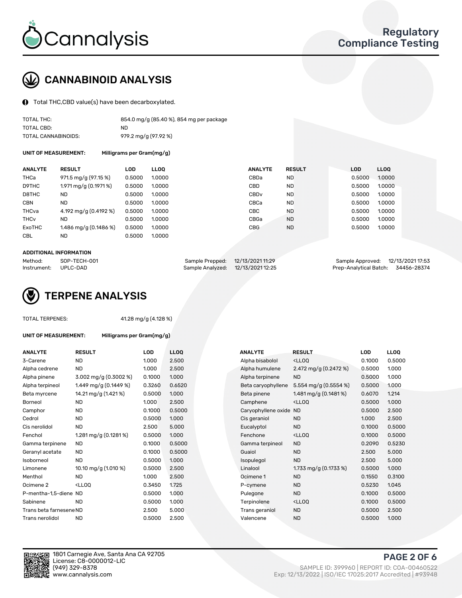

# CANNABINOID ANALYSIS

Total THC,CBD value(s) have been decarboxylated.

| TOTAL THC:          | 854.0 mg/g (85.40 %), 854 mg per package |
|---------------------|------------------------------------------|
| TOTAL CBD:          | ND.                                      |
| TOTAL CANNABINOIDS: | 979.2 mg/g (97.92 %)                     |

UNIT OF MEASUREMENT: Milligrams per Gram(mg/g)

| <b>RESULT</b>           | <b>LOD</b> |                                                                              | <b>ANALYTE</b>                                                                              |           |               | <b>LOD</b> | <b>LLOQ</b> |
|-------------------------|------------|------------------------------------------------------------------------------|---------------------------------------------------------------------------------------------|-----------|---------------|------------|-------------|
| 971.5 mg/g (97.15 %)    |            |                                                                              | CBDa                                                                                        | <b>ND</b> |               | 0.5000     | 1.0000      |
| 1.971 mg/g (0.1971 %)   |            |                                                                              | <b>CBD</b>                                                                                  | <b>ND</b> |               | 0.5000     | 1.0000      |
| <b>ND</b>               |            |                                                                              | CBD <sub>v</sub>                                                                            | <b>ND</b> |               | 0.5000     | 1.0000      |
| <b>ND</b>               |            |                                                                              | CBCa                                                                                        | <b>ND</b> |               | 0.5000     | 1.0000      |
| 4.192 mg/g (0.4192 %)   |            |                                                                              | <b>CBC</b>                                                                                  | <b>ND</b> |               | 0.5000     | 1.0000      |
| ND                      |            |                                                                              | CBGa                                                                                        | <b>ND</b> |               | 0.5000     | 1.0000      |
| 1.486 mg/g $(0.1486\%)$ |            |                                                                              | <b>CBG</b>                                                                                  | <b>ND</b> |               | 0.5000     | 1.0000      |
| <b>ND</b>               |            |                                                                              |                                                                                             |           |               |            |             |
|                         |            | 0.5000<br>0.5000<br>0.5000<br>0.5000<br>0.5000<br>0.5000<br>0.5000<br>0.5000 | <b>LLOO</b><br>1.0000<br>1.0000<br>1.0000<br>1.0000<br>1.0000<br>1.0000<br>1.0000<br>1.0000 |           | <b>RESULT</b> |            |             |

### ADDITIONAL INFORMATION

| Method:              | SOP-TECH-001 | Sample Prepped: 12/13/2021 11:29  | Sample Approved: 12/13/2021 17:53  |  |
|----------------------|--------------|-----------------------------------|------------------------------------|--|
| Instrument: UPLC-DAD |              | Sample Analyzed: 12/13/2021 12:25 | Prep-Analytical Batch: 34456-28374 |  |



TOTAL TERPENES: 41.28 mg/g (4.128 %)

| <b>ANALYTE</b>          | <b>RESULT</b>                                                                                                      | <b>LOD</b> | <b>LLOQ</b> | <b>ANALYTE</b>         | <b>RESULT</b>                                      | LOD    | <b>LLOQ</b> |
|-------------------------|--------------------------------------------------------------------------------------------------------------------|------------|-------------|------------------------|----------------------------------------------------|--------|-------------|
| 3-Carene                | <b>ND</b>                                                                                                          | 1.000      | 2.500       | Alpha bisabolol        | <lloq< td=""><td>0.1000</td><td>0.500</td></lloq<> | 0.1000 | 0.500       |
| Alpha cedrene           | <b>ND</b>                                                                                                          | 1.000      | 2.500       | Alpha humulene         | 2.472 mg/g (0.2472 %)                              | 0.5000 | 1.000       |
| Alpha pinene            | 3.002 mg/g (0.3002 %)                                                                                              | 0.1000     | 1.000       | Alpha terpinene        | <b>ND</b>                                          | 0.5000 | 1.000       |
| Alpha terpineol         | 1.449 mg/g (0.1449 %)                                                                                              | 0.3260     | 0.6520      | Beta caryophyllene     | 5.554 mg/g $(0.5554 \%)$                           | 0.5000 | 1.000       |
| Beta myrcene            | 14.21 mg/g (1.421 %)                                                                                               | 0.5000     | 1.000       | Beta pinene            | 1.481 mg/g (0.1481 %)                              | 0.6070 | 1.214       |
| Borneol                 | <b>ND</b>                                                                                                          | 1.000      | 2.500       | Camphene               | <lloq< td=""><td>0.5000</td><td>1.000</td></lloq<> | 0.5000 | 1.000       |
| Camphor                 | <b>ND</b>                                                                                                          | 0.1000     | 0.5000      | Caryophyllene oxide ND |                                                    | 0.5000 | 2.500       |
| Cedrol                  | <b>ND</b>                                                                                                          | 0.5000     | 1.000       | Cis geraniol           | <b>ND</b>                                          | 1.000  | 2.500       |
| Cis nerolidol           | <b>ND</b>                                                                                                          | 2.500      | 5.000       | Eucalyptol             | <b>ND</b>                                          | 0.1000 | 0.500       |
| Fenchol                 | 1.281 mg/g (0.1281 %)                                                                                              | 0.5000     | 1.000       | Fenchone               | <lloq< td=""><td>0.1000</td><td>0.500</td></lloq<> | 0.1000 | 0.500       |
| Gamma terpinene         | <b>ND</b>                                                                                                          | 0.1000     | 0.5000      | Gamma terpineol        | <b>ND</b>                                          | 0.2090 | 0.523       |
| Geranyl acetate         | ND.                                                                                                                | 0.1000     | 0.5000      | Guaiol                 | <b>ND</b>                                          | 2.500  | 5.000       |
| Isoborneol              | <b>ND</b>                                                                                                          | 0.5000     | 1.000       | Isopulegol             | <b>ND</b>                                          | 2.500  | 5.000       |
| Limonene                | 10.10 mg/g (1.010 %)                                                                                               | 0.5000     | 2.500       | Linalool               | 1.733 mg/g $(0.1733\%)$                            | 0.5000 | 1.000       |
| Menthol                 | <b>ND</b>                                                                                                          | 1.000      | 2.500       | Ocimene 1              | <b>ND</b>                                          | 0.1550 | 0.310       |
| Ocimene 2               | <lloq< td=""><td>0.3450</td><td>1.725</td><td>P-cymene</td><td><b>ND</b></td><td>0.5230</td><td>1.045</td></lloq<> | 0.3450     | 1.725       | P-cymene               | <b>ND</b>                                          | 0.5230 | 1.045       |
| P-mentha-1,5-diene ND   |                                                                                                                    | 0.5000     | 1.000       | Pulegone               | <b>ND</b>                                          | 0.1000 | 0.500       |
| Sabinene                | <b>ND</b>                                                                                                          | 0.5000     | 1.000       | Terpinolene            | <lloq< td=""><td>0.1000</td><td>0.500</td></lloq<> | 0.1000 | 0.500       |
| Trans beta farnesene ND |                                                                                                                    | 2.500      | 5.000       | Trans geraniol         | <b>ND</b>                                          | 0.5000 | 2.500       |
| Trans nerolidol         | <b>ND</b>                                                                                                          | 0.5000     | 2.500       | Valencene              | <b>ND</b>                                          | 0.5000 | 1.000       |

UNIT OF MEASUREMENT: Milligrams per Gram(mg/g)

| <b>ANALYTE</b>          | <b>RESULT</b>                                                                                                      | <b>LOD</b> | <b>LLOQ</b> | <b>ANALYTE</b>         | <b>RESULT</b>                                       | <b>LOD</b> | <b>LLOQ</b> |
|-------------------------|--------------------------------------------------------------------------------------------------------------------|------------|-------------|------------------------|-----------------------------------------------------|------------|-------------|
| 3-Carene                | <b>ND</b>                                                                                                          | 1.000      | 2.500       | Alpha bisabolol        | <lloq< td=""><td>0.1000</td><td>0.5000</td></lloq<> | 0.1000     | 0.5000      |
| Alpha cedrene           | <b>ND</b>                                                                                                          | 1.000      | 2.500       | Alpha humulene         | 2.472 mg/g (0.2472 %)                               | 0.5000     | 1.000       |
| Alpha pinene            | 3.002 mg/g (0.3002 %)                                                                                              | 0.1000     | 1.000       | Alpha terpinene        | <b>ND</b>                                           | 0.5000     | 1.000       |
| Alpha terpineol         | 1.449 mg/g (0.1449 %)                                                                                              | 0.3260     | 0.6520      | Beta caryophyllene     | 5.554 mg/g $(0.5554 \%)$                            | 0.5000     | 1.000       |
| Beta myrcene            | 14.21 mg/g (1.421 %)                                                                                               | 0.5000     | 1.000       | Beta pinene            | 1.481 mg/g $(0.1481\%)$                             | 0.6070     | 1.214       |
| Borneol                 | <b>ND</b>                                                                                                          | 1.000      | 2.500       | Camphene               | <lloq< td=""><td>0.5000</td><td>1.000</td></lloq<>  | 0.5000     | 1.000       |
| Camphor                 | <b>ND</b>                                                                                                          | 0.1000     | 0.5000      | Caryophyllene oxide ND |                                                     | 0.5000     | 2.500       |
| Cedrol                  | <b>ND</b>                                                                                                          | 0.5000     | 1.000       | Cis geraniol           | ND.                                                 | 1.000      | 2.500       |
| Cis nerolidol           | <b>ND</b>                                                                                                          | 2.500      | 5.000       | Eucalyptol             | <b>ND</b>                                           | 0.1000     | 0.5000      |
| Fenchol                 | 1.281 mg/g (0.1281 %)                                                                                              | 0.5000     | 1.000       | Fenchone               | <lloq< td=""><td>0.1000</td><td>0.5000</td></lloq<> | 0.1000     | 0.5000      |
| Gamma terpinene         | <b>ND</b>                                                                                                          | 0.1000     | 0.5000      | Gamma terpineol        | <b>ND</b>                                           | 0.2090     | 0.5230      |
| Geranyl acetate         | <b>ND</b>                                                                                                          | 0.1000     | 0.5000      | Guaiol                 | <b>ND</b>                                           | 2.500      | 5.000       |
| Isoborneol              | <b>ND</b>                                                                                                          | 0.5000     | 1.000       | Isopulegol             | <b>ND</b>                                           | 2.500      | 5.000       |
| Limonene                | 10.10 mg/g (1.010 %)                                                                                               | 0.5000     | 2.500       | Linalool               | 1.733 mg/g $(0.1733\%)$                             | 0.5000     | 1.000       |
| Menthol                 | <b>ND</b>                                                                                                          | 1.000      | 2.500       | Ocimene 1              | <b>ND</b>                                           | 0.1550     | 0.3100      |
| Ocimene 2               | <lloq< td=""><td>0.3450</td><td>1.725</td><td>P-cymene</td><td><b>ND</b></td><td>0.5230</td><td>1.045</td></lloq<> | 0.3450     | 1.725       | P-cymene               | <b>ND</b>                                           | 0.5230     | 1.045       |
| P-mentha-1,5-diene ND   |                                                                                                                    | 0.5000     | 1.000       | Pulegone               | <b>ND</b>                                           | 0.1000     | 0.5000      |
| Sabinene                | <b>ND</b>                                                                                                          | 0.5000     | 1.000       | Terpinolene            | <lloq< td=""><td>0.1000</td><td>0.5000</td></lloq<> | 0.1000     | 0.5000      |
| Trans beta farnesene ND |                                                                                                                    | 2.500      | 5.000       | Trans geraniol         | <b>ND</b>                                           | 0.5000     | 2.500       |
| Trans nerolidol         | <b>ND</b>                                                                                                          | 0.5000     | 2.500       | Valencene              | <b>ND</b>                                           | 0.5000     | 1.000       |



1801 Carnegie Ave, Santa Ana CA 92705 License: C8-0000012-LIC<br>(949) 329-8378

PAGE 2 OF 6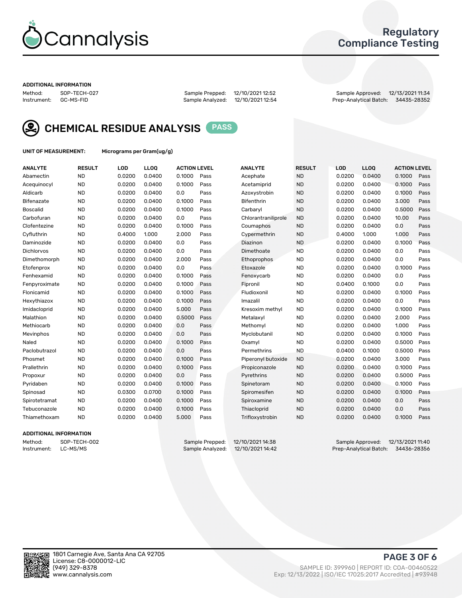

### Regulatory Compliance Testing

#### ADDITIONAL INFORMATION

Method: SOP-TECH-027 Sample Prepped: 12/10/2021 12:52 Sample Approved: 12/13/2021 11:34 Prep-Analytical Batch: 34435-28352



CHEMICAL RESIDUE ANALYSIS PASS

UNIT OF MEASUREMENT: Micrograms per Gram(ug/g)

| <b>ANALYTE</b>    | <b>RESULT</b> | LOD    | LLOQ   | <b>ACTION LEVEL</b> |      | <b>ANALYTE</b>      | <b>RESULT</b> | LOD    | <b>LLOQ</b> | <b>ACTION LEVEL</b> |      |
|-------------------|---------------|--------|--------|---------------------|------|---------------------|---------------|--------|-------------|---------------------|------|
| Abamectin         | <b>ND</b>     | 0.0200 | 0.0400 | 0.1000              | Pass | Acephate            | <b>ND</b>     | 0.0200 | 0.0400      | 0.1000              | Pass |
| Acequinocyl       | <b>ND</b>     | 0.0200 | 0.0400 | 0.1000              | Pass | Acetamiprid         | <b>ND</b>     | 0.0200 | 0.0400      | 0.1000              | Pass |
| Aldicarb          | <b>ND</b>     | 0.0200 | 0.0400 | 0.0                 | Pass | Azoxystrobin        | <b>ND</b>     | 0.0200 | 0.0400      | 0.1000              | Pass |
| <b>Bifenazate</b> | <b>ND</b>     | 0.0200 | 0.0400 | 0.1000              | Pass | <b>Bifenthrin</b>   | <b>ND</b>     | 0.0200 | 0.0400      | 3.000               | Pass |
| <b>Boscalid</b>   | <b>ND</b>     | 0.0200 | 0.0400 | 0.1000              | Pass | Carbaryl            | <b>ND</b>     | 0.0200 | 0.0400      | 0.5000              | Pass |
| Carbofuran        | <b>ND</b>     | 0.0200 | 0.0400 | 0.0                 | Pass | Chlorantraniliprole | <b>ND</b>     | 0.0200 | 0.0400      | 10.00               | Pass |
| Clofentezine      | <b>ND</b>     | 0.0200 | 0.0400 | 0.1000              | Pass | Coumaphos           | <b>ND</b>     | 0.0200 | 0.0400      | 0.0                 | Pass |
| Cyfluthrin        | <b>ND</b>     | 0.4000 | 1.000  | 2.000               | Pass | Cypermethrin        | <b>ND</b>     | 0.4000 | 1.000       | 1.000               | Pass |
| Daminozide        | <b>ND</b>     | 0.0200 | 0.0400 | 0.0                 | Pass | Diazinon            | <b>ND</b>     | 0.0200 | 0.0400      | 0.1000              | Pass |
| <b>Dichlorvos</b> | <b>ND</b>     | 0.0200 | 0.0400 | 0.0                 | Pass | Dimethoate          | <b>ND</b>     | 0.0200 | 0.0400      | 0.0                 | Pass |
| Dimethomorph      | <b>ND</b>     | 0.0200 | 0.0400 | 2.000               | Pass | Ethoprophos         | <b>ND</b>     | 0.0200 | 0.0400      | 0.0                 | Pass |
| Etofenprox        | <b>ND</b>     | 0.0200 | 0.0400 | 0.0                 | Pass | Etoxazole           | <b>ND</b>     | 0.0200 | 0.0400      | 0.1000              | Pass |
| Fenhexamid        | <b>ND</b>     | 0.0200 | 0.0400 | 0.1000              | Pass | Fenoxycarb          | <b>ND</b>     | 0.0200 | 0.0400      | 0.0                 | Pass |
| Fenpyroximate     | <b>ND</b>     | 0.0200 | 0.0400 | 0.1000              | Pass | Fipronil            | <b>ND</b>     | 0.0400 | 0.1000      | 0.0                 | Pass |
| Flonicamid        | <b>ND</b>     | 0.0200 | 0.0400 | 0.1000              | Pass | Fludioxonil         | <b>ND</b>     | 0.0200 | 0.0400      | 0.1000              | Pass |
| Hexythiazox       | <b>ND</b>     | 0.0200 | 0.0400 | 0.1000              | Pass | Imazalil            | <b>ND</b>     | 0.0200 | 0.0400      | 0.0                 | Pass |
| Imidacloprid      | <b>ND</b>     | 0.0200 | 0.0400 | 5.000               | Pass | Kresoxim methyl     | <b>ND</b>     | 0.0200 | 0.0400      | 0.1000              | Pass |
| Malathion         | <b>ND</b>     | 0.0200 | 0.0400 | 0.5000              | Pass | Metalaxyl           | <b>ND</b>     | 0.0200 | 0.0400      | 2.000               | Pass |
| Methiocarb        | <b>ND</b>     | 0.0200 | 0.0400 | 0.0                 | Pass | Methomyl            | <b>ND</b>     | 0.0200 | 0.0400      | 1.000               | Pass |
| Mevinphos         | <b>ND</b>     | 0.0200 | 0.0400 | 0.0                 | Pass | Myclobutanil        | <b>ND</b>     | 0.0200 | 0.0400      | 0.1000              | Pass |
| Naled             | <b>ND</b>     | 0.0200 | 0.0400 | 0.1000              | Pass | Oxamyl              | <b>ND</b>     | 0.0200 | 0.0400      | 0.5000              | Pass |
| Paclobutrazol     | <b>ND</b>     | 0.0200 | 0.0400 | 0.0                 | Pass | Permethrins         | <b>ND</b>     | 0.0400 | 0.1000      | 0.5000              | Pass |
| Phosmet           | <b>ND</b>     | 0.0200 | 0.0400 | 0.1000              | Pass | Piperonyl butoxide  | <b>ND</b>     | 0.0200 | 0.0400      | 3.000               | Pass |
| Prallethrin       | <b>ND</b>     | 0.0200 | 0.0400 | 0.1000              | Pass | Propiconazole       | <b>ND</b>     | 0.0200 | 0.0400      | 0.1000              | Pass |
| Propoxur          | <b>ND</b>     | 0.0200 | 0.0400 | 0.0                 | Pass | Pyrethrins          | <b>ND</b>     | 0.0200 | 0.0400      | 0.5000              | Pass |
| Pyridaben         | <b>ND</b>     | 0.0200 | 0.0400 | 0.1000              | Pass | Spinetoram          | <b>ND</b>     | 0.0200 | 0.0400      | 0.1000              | Pass |
| Spinosad          | <b>ND</b>     | 0.0300 | 0.0700 | 0.1000              | Pass | Spiromesifen        | <b>ND</b>     | 0.0200 | 0.0400      | 0.1000              | Pass |
| Spirotetramat     | <b>ND</b>     | 0.0200 | 0.0400 | 0.1000              | Pass | Spiroxamine         | <b>ND</b>     | 0.0200 | 0.0400      | 0.0                 | Pass |
| Tebuconazole      | <b>ND</b>     | 0.0200 | 0.0400 | 0.1000              | Pass | Thiacloprid         | <b>ND</b>     | 0.0200 | 0.0400      | 0.0                 | Pass |
| Thiamethoxam      | <b>ND</b>     | 0.0200 | 0.0400 | 5.000               | Pass | Trifloxystrobin     | <b>ND</b>     | 0.0200 | 0.0400      | 0.1000              | Pass |
|                   |               |        |        |                     |      |                     |               |        |             |                     |      |

### ADDITIONAL INFORMATION

Method: SOP-TECH-002 Sample Prepped: 12/10/202114:38 Sample Approved: 12/13/2021 11:40<br>Instrument: LC-MS/MS Sample Analyzed: 12/10/2021 14:42 Prep-Analytical Batch: 34436-28356 Prep-Analytical Batch: 34436-28356

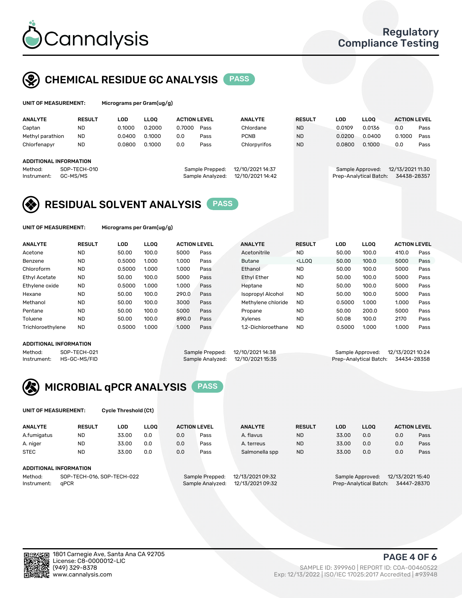

## CHEMICAL RESIDUE GC ANALYSIS PASS

| UNIT OF MEASUREMENT:   |                          |            | Micrograms per Gram(ug/g) |                     |                                     |                                      |               |        |                                            |                                 |      |  |  |
|------------------------|--------------------------|------------|---------------------------|---------------------|-------------------------------------|--------------------------------------|---------------|--------|--------------------------------------------|---------------------------------|------|--|--|
| <b>ANALYTE</b>         | <b>RESULT</b>            | <b>LOD</b> | <b>LLOO</b>               | <b>ACTION LEVEL</b> |                                     | <b>ANALYTE</b>                       | <b>RESULT</b> | LOD    | <b>LLOO</b>                                | <b>ACTION LEVEL</b>             |      |  |  |
| Captan                 | ND                       | 0.1000     | 0.2000                    | 0.7000              | Pass                                | Chlordane                            | <b>ND</b>     | 0.0109 | 0.0136                                     | 0.0                             | Pass |  |  |
| Methyl parathion       | <b>ND</b>                | 0.0400     | 0.1000                    | 0.0                 | Pass                                | <b>PCNB</b>                          | <b>ND</b>     | 0.0200 | 0.0400                                     | 0.1000                          | Pass |  |  |
| Chlorfenapyr           | <b>ND</b>                | 0.0800     | 0.1000                    | 0.0                 | Pass                                | Chlorpyrifos                         | <b>ND</b>     | 0.0800 | 0.1000                                     | 0.0                             | Pass |  |  |
| ADDITIONAL INFORMATION |                          |            |                           |                     |                                     |                                      |               |        |                                            |                                 |      |  |  |
| Method:<br>Instrument: | SOP-TECH-010<br>GC-MS/MS |            |                           |                     | Sample Prepped:<br>Sample Analyzed: | 12/10/2021 14:37<br>12/10/2021 14:42 |               |        | Sample Approved:<br>Prep-Analytical Batch: | 12/13/2021 11:30<br>34438-28357 |      |  |  |



UNIT OF MEASUREMENT: Micrograms per Gram(ug/g)

| <b>ANALYTE</b>       | <b>RESULT</b> | LOD    | <b>LLOO</b> | <b>ACTION LEVEL</b> |      | <b>ANALYTE</b>           | <b>RESULT</b>                                                               | <b>LOD</b> | LLOO  | <b>ACTION LEVEL</b> |      |
|----------------------|---------------|--------|-------------|---------------------|------|--------------------------|-----------------------------------------------------------------------------|------------|-------|---------------------|------|
| Acetone              | <b>ND</b>     | 50.00  | 100.0       | 5000                | Pass | Acetonitrile             | <b>ND</b>                                                                   | 50.00      | 100.0 | 410.0               | Pass |
| Benzene              | <b>ND</b>     | 0.5000 | 1.000       | 1.000               | Pass | <b>Butane</b>            | <lloo< td=""><td>50.00</td><td>100.0</td><td>5000</td><td>Pass</td></lloo<> | 50.00      | 100.0 | 5000                | Pass |
| Chloroform           | <b>ND</b>     | 0.5000 | 1.000       | 1.000               | Pass | Ethanol                  | <b>ND</b>                                                                   | 50.00      | 100.0 | 5000                | Pass |
| <b>Ethyl Acetate</b> | <b>ND</b>     | 50.00  | 100.0       | 5000                | Pass | <b>Ethyl Ether</b>       | <b>ND</b>                                                                   | 50.00      | 100.0 | 5000                | Pass |
| Ethylene oxide       | <b>ND</b>     | 0.5000 | 1.000       | 1.000               | Pass | Heptane                  | <b>ND</b>                                                                   | 50.00      | 100.0 | 5000                | Pass |
| Hexane               | <b>ND</b>     | 50.00  | 100.0       | 290.0               | Pass | <b>Isopropyl Alcohol</b> | <b>ND</b>                                                                   | 50.00      | 100.0 | 5000                | Pass |
| Methanol             | <b>ND</b>     | 50.00  | 100.0       | 3000                | Pass | Methylene chloride       | <b>ND</b>                                                                   | 0.5000     | 1.000 | 1.000               | Pass |
| Pentane              | <b>ND</b>     | 50.00  | 100.0       | 5000                | Pass | Propane                  | <b>ND</b>                                                                   | 50.00      | 200.0 | 5000                | Pass |
| Toluene              | <b>ND</b>     | 50.00  | 100.0       | 890.0               | Pass | Xvlenes                  | <b>ND</b>                                                                   | 50.08      | 100.0 | 2170                | Pass |
| Trichloroethylene    | <b>ND</b>     | 0.5000 | 1.000       | 1.000               | Pass | 1.2-Dichloroethane       | <b>ND</b>                                                                   | 0.5000     | 1.000 | 1.000               | Pass |

### ADDITIONAL INFORMATION

|             | ADDITIONAL INFORMATION |                                   |                                    |  |
|-------------|------------------------|-----------------------------------|------------------------------------|--|
| Method:     | SOP-TECH-021           | Sample Prepped: 12/10/2021 14:38  | Sample Approved: 12/13/2021 10:24  |  |
| Instrument: | HS-GC-MS/FID           | Sample Analyzed: 12/10/2021 15:35 | Prep-Analytical Batch: 34434-28358 |  |

<sup>-&</sup>lt;br>Analytical Batch: 34434-28358



UNIT OF MEASUREMENT: Cycle Threshold (Ct)

| <b>ANALYTE</b>         | <b>RESULT</b>              | LOD   | <b>LLOO</b> |     | <b>ACTION LEVEL</b> | <b>ANALYTE</b>   | <b>RESULT</b> | <b>LOD</b> | <b>LLOO</b>            |                  | <b>ACTION LEVEL</b> |
|------------------------|----------------------------|-------|-------------|-----|---------------------|------------------|---------------|------------|------------------------|------------------|---------------------|
| A.fumigatus            | <b>ND</b>                  | 33.00 | 0.0         | 0.0 | Pass                | A. flavus        | <b>ND</b>     | 33.00      | 0.0                    | 0.0              | Pass                |
| A. niger               | <b>ND</b>                  | 33.00 | 0.0         | 0.0 | Pass                | A. terreus       | <b>ND</b>     | 33.00      | 0.0                    | 0.0              | Pass                |
| <b>STEC</b>            | <b>ND</b>                  | 33.00 | 0.0         | 0.0 | Pass                | Salmonella spp   | <b>ND</b>     | 33.00      | 0.0                    | 0.0              | Pass                |
| ADDITIONAL INFORMATION |                            |       |             |     |                     |                  |               |            |                        |                  |                     |
| Method:                | SOP-TECH-016, SOP-TECH-022 |       |             |     | Sample Prepped:     | 12/13/2021 09:32 |               |            | Sample Approved:       | 12/13/2021 15:40 |                     |
| Instrument:            | aPCR                       |       |             |     | Sample Analyzed:    | 12/13/2021 09:32 |               |            | Prep-Analytical Batch: |                  | 34447-28370         |

in.

PAGE 4 OF 6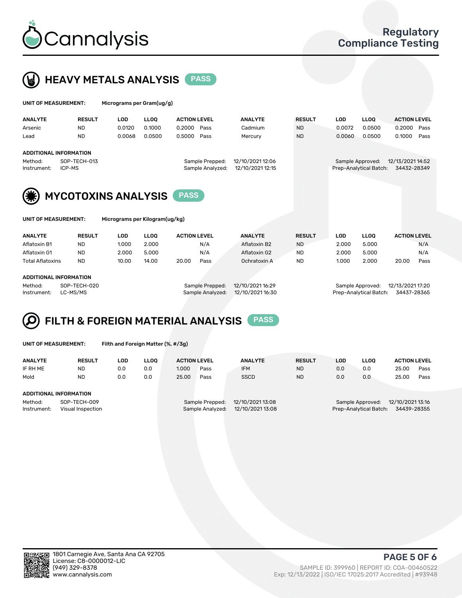



| UNIT OF MEASUREMENT:                                    |                        | Micrograms per Gram(ug/g)  |             |                     |                                     |                                      |               |            |                                            |                                 |      |
|---------------------------------------------------------|------------------------|----------------------------|-------------|---------------------|-------------------------------------|--------------------------------------|---------------|------------|--------------------------------------------|---------------------------------|------|
| <b>ANALYTE</b>                                          | <b>RESULT</b>          | <b>LOD</b>                 | <b>LLOO</b> | <b>ACTION LEVEL</b> |                                     | <b>ANALYTE</b>                       | <b>RESULT</b> | <b>LOD</b> | <b>LLOO</b>                                | <b>ACTION LEVEL</b>             |      |
| Arsenic                                                 | <b>ND</b>              | 0.0120                     | 0.1000      | 0.2000              | Pass                                | Cadmium                              | <b>ND</b>     | 0.0072     | 0.0500                                     | 0.2000                          | Pass |
| Lead                                                    | <b>ND</b>              | 0.0068                     | 0.0500      | 0.5000              | Pass                                | Mercury                              | <b>ND</b>     | 0.0060     | 0.0500                                     | 0.1000                          | Pass |
| <b>ADDITIONAL INFORMATION</b><br>Method:<br>Instrument: | SOP-TECH-013<br>ICP-MS |                            |             |                     | Sample Prepped:<br>Sample Analyzed: | 12/10/2021 12:06<br>12/10/2021 12:15 |               |            | Sample Approved:<br>Prep-Analytical Batch: | 12/13/2021 14:52<br>34432-28349 |      |
|                                                         |                        | <b>MYCOTOXINS ANALYSIS</b> |             | <b>PASS</b>         |                                     |                                      |               |            |                                            |                                 |      |

icrograms per Kilogram(ug/kg)

| <b>ANALYTE</b>               | <b>RESULT</b> | LOD   | <b>LLOO</b> | <b>ACTION LEVEL</b> |      | <b>ANALYTE</b> | <b>RESULT</b> | LOD   | <b>LLOO</b> |       | <b>ACTION LEVEL</b> |
|------------------------------|---------------|-------|-------------|---------------------|------|----------------|---------------|-------|-------------|-------|---------------------|
| Aflatoxin B1                 | <b>ND</b>     | 1.000 | 2.000       |                     | N/A  | Aflatoxin B2   | <b>ND</b>     | 2.000 | 5.000       |       | N/A                 |
| Aflatoxin G1                 | <b>ND</b>     | 2.000 | 5.000       |                     | N/A  | Aflatoxin G2   | <b>ND</b>     | 2.000 | 5.000       |       | N/A                 |
| <b>Total Aflatoxins</b>      | <b>ND</b>     | 10.00 | 14.00       | 20.00               | Pass | Ochratoxin A   | <b>ND</b>     | 1.000 | 2.000       | 20.00 | Pass                |
|                              |               |       |             |                     |      |                |               |       |             |       |                     |
| 1.0.017101111111700111171011 |               |       |             |                     |      |                |               |       |             |       |                     |

### ADDITIONAL INFORMATION

Method: SOP-TECH-020 Sample Prepped: 12/10/2021 16:29 Sample Approved: 12/13/2021 17:20 Instrument: LC-MS/MS Sample Analyzed: 12/10/2021 16:30 Prep-Analytical Batch: 34437-28365

### FILTH & FOREIGN MATERIAL ANALYSIS PASS Q

UNIT OF MEASUREMENT: Filth and Foreign Matter (%, #/3g)

| <b>ANALYTE</b>                                              | <b>RESULT</b> | LOD | <b>LLOO</b> | <b>ACTION LEVEL</b> |                                     | <b>ANALYTE</b> | <b>RESULT</b>                                                                 | LOD | <b>LLOO</b> | <b>ACTION LEVEL</b> |      |
|-------------------------------------------------------------|---------------|-----|-------------|---------------------|-------------------------------------|----------------|-------------------------------------------------------------------------------|-----|-------------|---------------------|------|
| IF RH ME                                                    | <b>ND</b>     | 0.0 | 0.0         | 1.000               | Pass                                | <b>IFM</b>     | <b>ND</b>                                                                     | 0.0 | 0.0         | 25.00               | Pass |
| Mold                                                        | <b>ND</b>     | 0.0 | 0.0         | 25.00               | Pass                                | <b>SSCD</b>    | <b>ND</b>                                                                     | 0.0 | 0.0         | 25.00               | Pass |
| <b>ADDITIONAL INFORMATION</b>                               |               |     |             |                     |                                     |                |                                                                               |     |             |                     |      |
| Method:<br>SOP-TECH-009<br>Instrument:<br>Visual Inspection |               |     |             |                     | Sample Prepped:<br>Sample Analyzed: |                | 12/10/2021 13:16<br>Sample Approved:<br>34439-28355<br>Prep-Analytical Batch: |     |             |                     |      |